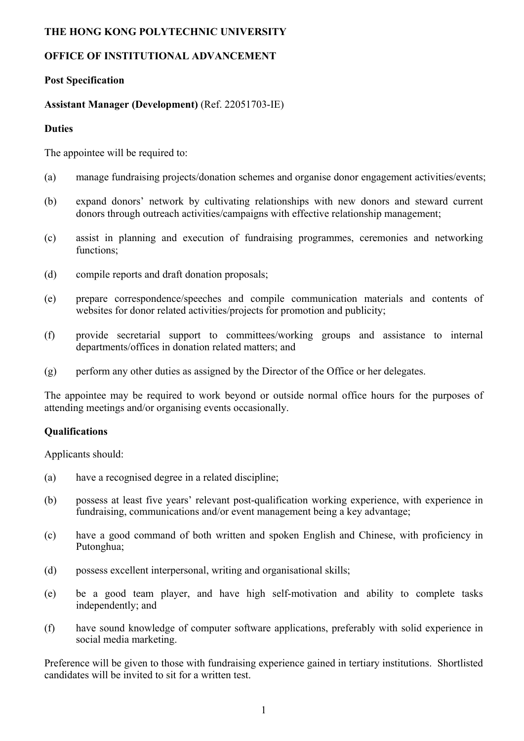### **THE HONG KONG POLYTECHNIC UNIVERSITY**

# **OFFICE OF INSTITUTIONAL ADVANCEMENT**

## **Post Specification**

### **Assistant Manager (Development)** (Ref. 22051703-IE)

#### **Duties**

The appointee will be required to:

- (a) manage fundraising projects/donation schemes and organise donor engagement activities/events;
- (b) expand donors' network by cultivating relationships with new donors and steward current donors through outreach activities/campaigns with effective relationship management;
- (c) assist in planning and execution of fundraising programmes, ceremonies and networking functions;
- (d) compile reports and draft donation proposals;
- (e) prepare correspondence/speeches and compile communication materials and contents of websites for donor related activities/projects for promotion and publicity;
- (f) provide secretarial support to committees/working groups and assistance to internal departments/offices in donation related matters; and
- (g) perform any other duties as assigned by the Director of the Office or her delegates.

The appointee may be required to work beyond or outside normal office hours for the purposes of attending meetings and/or organising events occasionally.

## **Qualifications**

Applicants should:

- (a) have a recognised degree in a related discipline;
- (b) possess at least five years' relevant post-qualification working experience, with experience in fundraising, communications and/or event management being a key advantage;
- (c) have a good command of both written and spoken English and Chinese, with proficiency in Putonghua;
- (d) possess excellent interpersonal, writing and organisational skills;
- (e) be a good team player, and have high self-motivation and ability to complete tasks independently; and
- (f) have sound knowledge of computer software applications, preferably with solid experience in social media marketing.

Preference will be given to those with fundraising experience gained in tertiary institutions. Shortlisted candidates will be invited to sit for a written test.